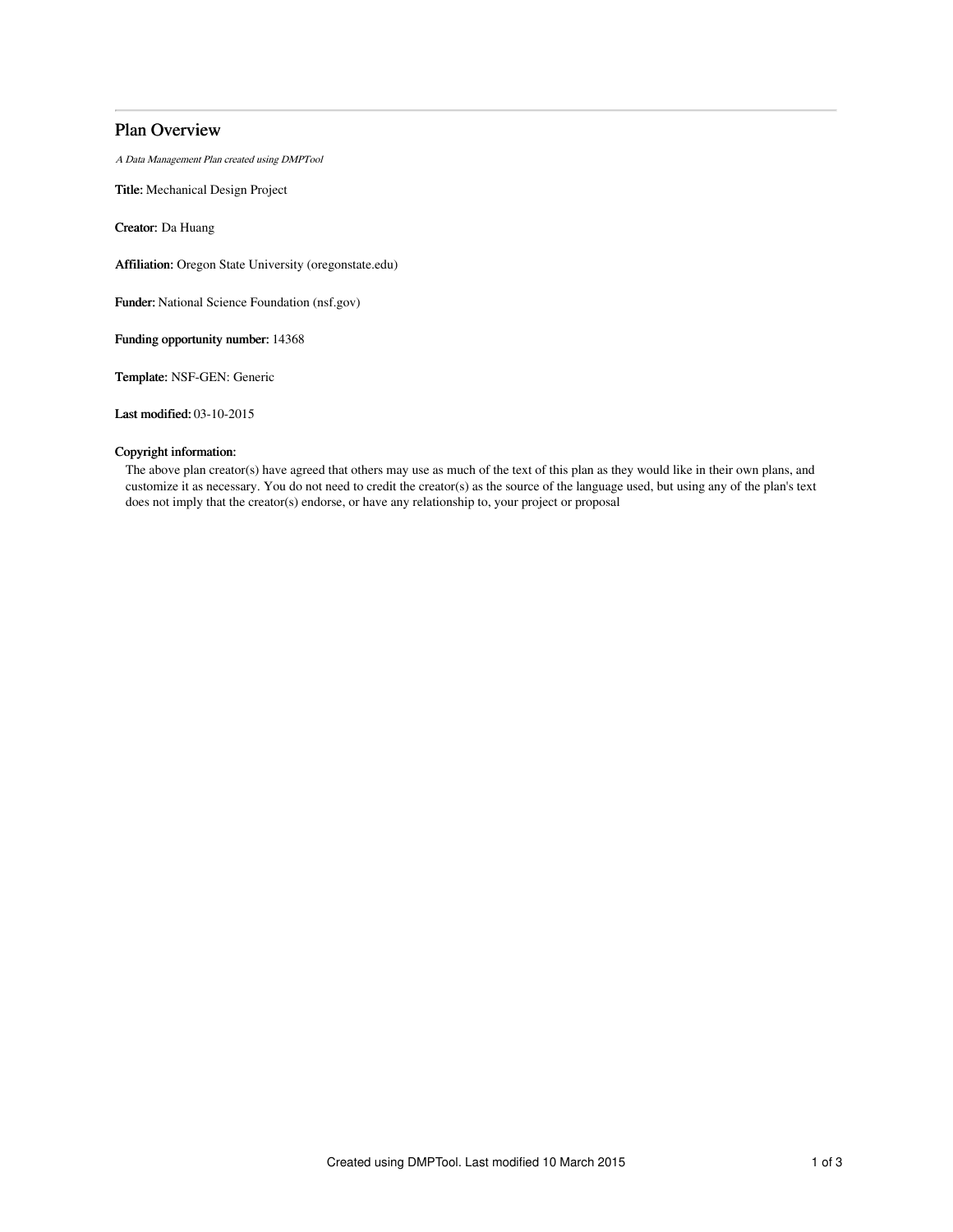# Plan Overview

A Data Management Plan created using DMPTool

Title: Mechanical Design Project

Creator: Da Huang

Affiliation: Oregon State University (oregonstate.edu)

Funder: National Science Foundation (nsf.gov)

Funding opportunity number: 14368

Template: NSF-GEN: Generic

Last modified: 03-10-2015

## Copyright information:

The above plan creator(s) have agreed that others may use as much of the text of this plan as they would like in their own plans, and customize it as necessary. You do not need to credit the creator(s) as the source of the language used, but using any of the plan's text does not imply that the creator(s) endorse, or have any relationship to, your project or proposal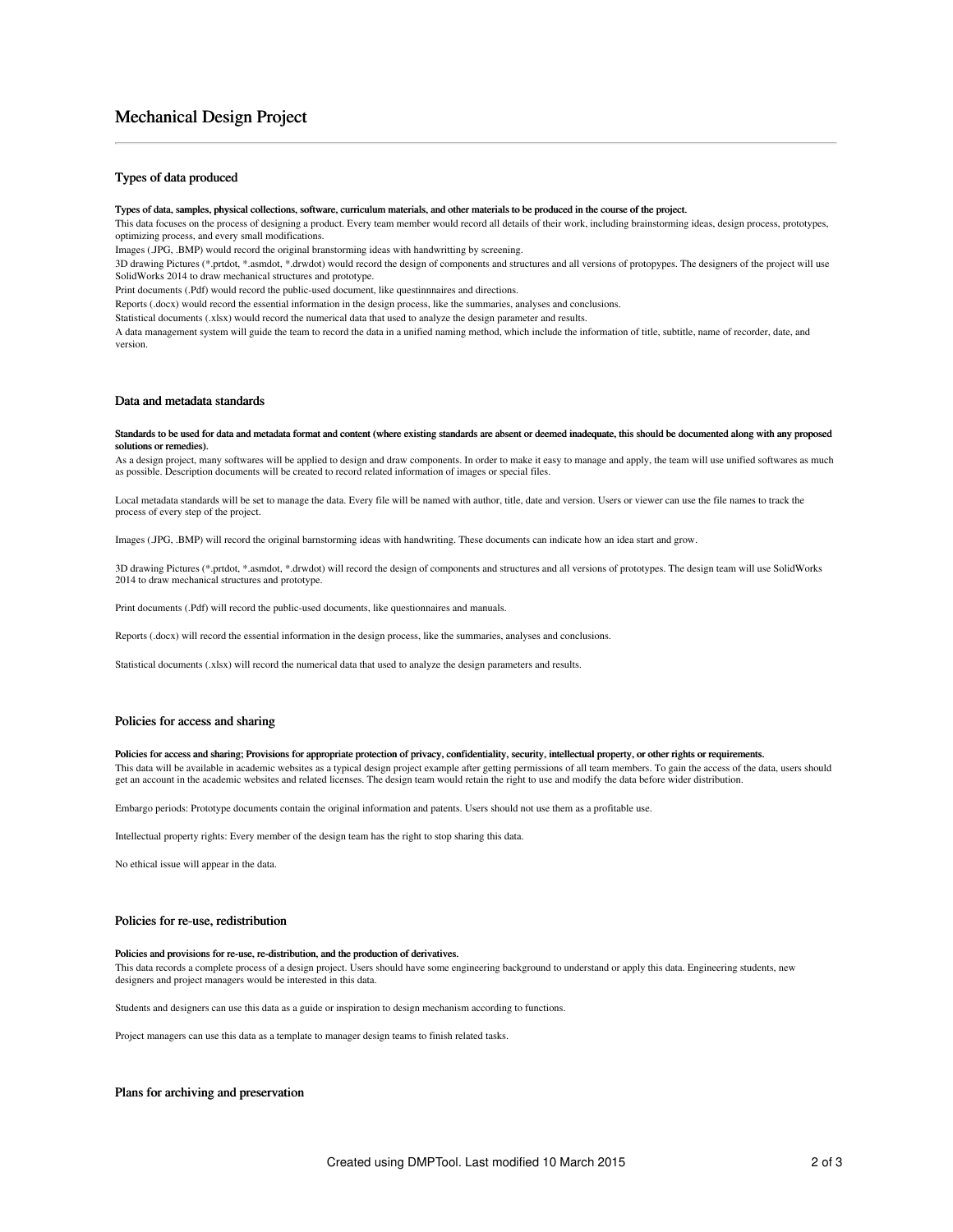# Mechanical Design Project

## Types of data produced

#### Types of data, samples, physical collections, software, curriculum materials, and other materials to be produced in the course of the project.

This data focuses on the process of designing a product. Every team member would record all details of their work, including brainstorming ideas, design process, prototypes, optimizing process, and every small modifications.

Images (.JPG, .BMP) would record the original branstorming ideas with handwritting by screening.

3D drawing Pictures (\*.prtdot, \*.asmdot, \*.drwdot) would record the design of components and structures and all versions of protopypes. The designers of the project will use SolidWorks 2014 to draw mechanical structures and prototype.

Print documents (.Pdf) would record the public-used document, like questinnnaires and directions.

Reports (.docx) would record the essential information in the design process, like the summaries, analyses and conclusions.

Statistical documents (.xlsx) would record the numerical data that used to analyze the design parameter and results.

A data management system will guide the team to record the data in a unified naming method, which include the information of title, subtitle, name of recorder, date, and version.

#### Data and metadata standards

#### Standards to be used for data and metadata format and content (where existing standards are absent or deemed inadequate, this should be documented along with any proposed solutions or remedies).

As a design project, many softwares will be applied to design and draw components. In order to make it easy to manage and apply, the team will use unified softwares as much as possible. Description documents will be created to record related information of images or special files.

Local metadata standards will be set to manage the data. Every file will be named with author, title, date and version. Users or viewer can use the file names to track the process of every step of the project.

Images (.JPG, .BMP) will record the original barnstorming ideas with handwriting. These documents can indicate how an idea start and grow.

3D drawing Pictures (\*.prtdot, \*.asmdot, \*.drwdot) will record the design of components and structures and all versions of prototypes. The design team will use SolidWorks 2014 to draw mechanical structures and prototype.

Print documents (.Pdf) will record the public-used documents, like questionnaires and manuals.

Reports (.docx) will record the essential information in the design process, like the summaries, analyses and conclusions.

Statistical documents (.xlsx) will record the numerical data that used to analyze the design parameters and results.

#### Policies for access and sharing

## Policies for access and sharing; Provisions for appropriate protection of privacy, confidentiality, security, intellectual property, or other rights or requirements.

This data will be available in academic websites as a typical design project example after getting permissions of all team members. To gain the access of the data, users should get an account in the academic websites and related licenses. The design team would retain the right to use and modify the data before wider distribution.

Embargo periods: Prototype documents contain the original information and patents. Users should not use them as a profitable use.

Intellectual property rights: Every member of the design team has the right to stop sharing this data.

No ethical issue will appear in the data.

## Policies for re-use, redistribution

#### Policies and provisions for re-use, re-distribution, and the production of derivatives.

This data records a complete process of a design project. Users should have some engineering background to understand or apply this data. Engineering students, new designers and project managers would be interested in this data.

Students and designers can use this data as a guide or inspiration to design mechanism according to functions.

Project managers can use this data as a template to manager design teams to finish related tasks.

## Plans for archiving and preservation